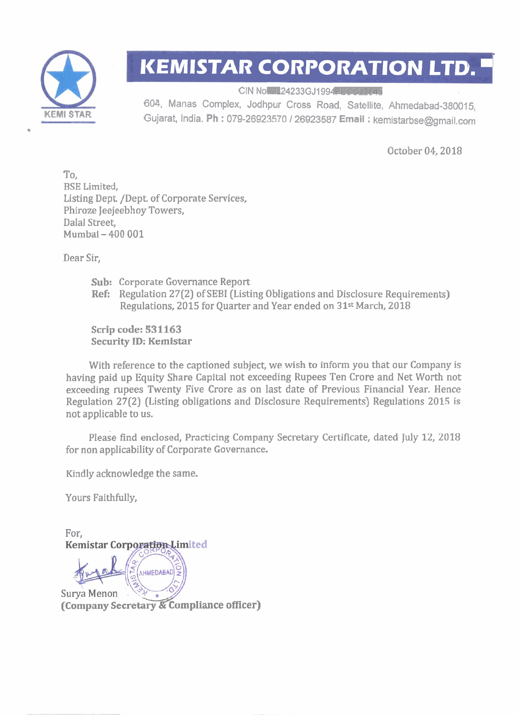

## **KEMISTAR CORPORATION LTD.**

CIN No **24233GJ1994PLCO22845**<br>604, Manas Complex, Jodhpur Cross Road, Satellite, Ahmedabad-380015, **KEMl STAR** Gujarat, India. **Ph** : 079-26923570 / 26923587 **Email** : kemistarbse@gmail.com

October 04,2018

To, BSE Limited, Listing Dept. /Dept. of Corporate Services, Phiroze Jeejeebhoy Towers, Dalal Street, Mumbai - 400 001

Dear Sir,

**Sub:** Corporate Governance Report **Ref:** Regulation 27(2) of SEBI (Listing Obligations and Disclosure Requirements) Regulations, 2015 for Quarter and Year ended on 31<sup>st</sup> March, 2018

**Scrip code: 531163 Security ID: Kemistar** 

With reference to the captioned subject, we wish to inform you that our Company is having paid up Equity Share Capital not exceeding Rupees Ten Crore and Net Worth not exceeding rupees Twenty Five Crore as on last date of Previous Financial Year. Hence Regulation 27(2) (Listing obligations and Disclosure Requirements) Regulations 2015 is not applicable to us.

please find enclosed, Practicing Company Secretary Certificate, dated July 12, 2018 for non applicability of Corporate Governance.

Kindly acknowledge the same.

Yours Faithfully,

For, **Kemistar Corporation Limited AHMEDABAD -2 (company Secretary** & **Compliance officer)**